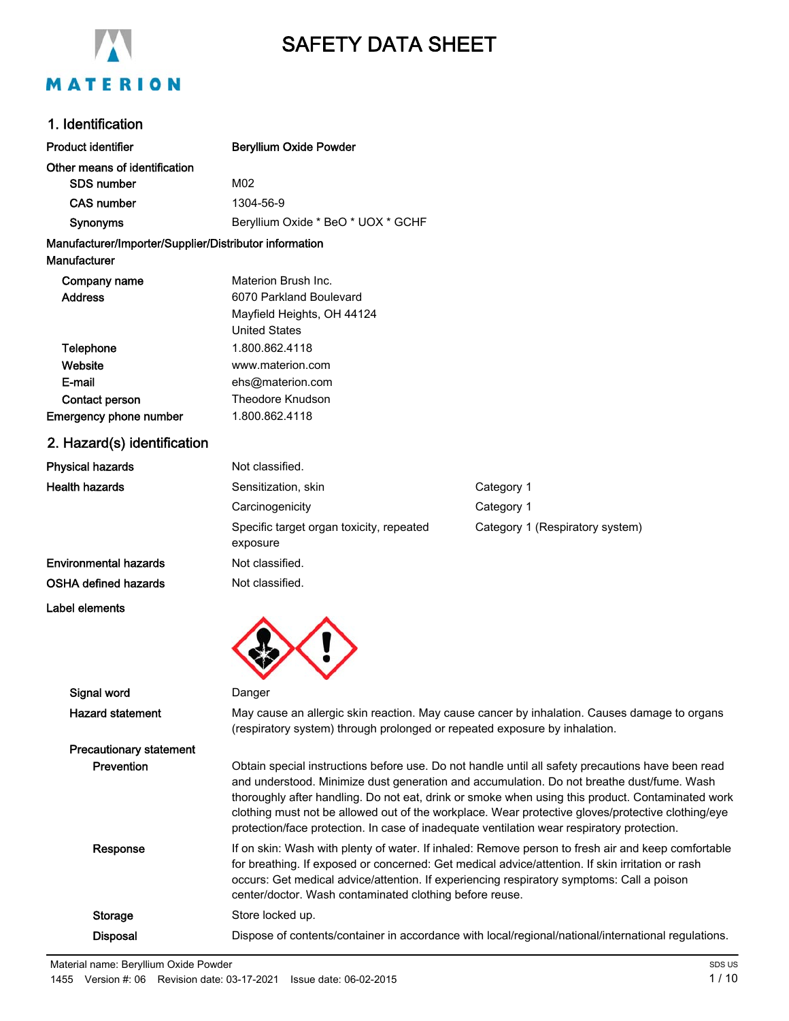

# SAFETY DATA SHEET

# 1. Identification

| <b>Product identifier</b>                              | <b>Beryllium Oxide Powder</b>                                                                                                                                              |                                                                                                                                                                                                |  |  |
|--------------------------------------------------------|----------------------------------------------------------------------------------------------------------------------------------------------------------------------------|------------------------------------------------------------------------------------------------------------------------------------------------------------------------------------------------|--|--|
| Other means of identification                          |                                                                                                                                                                            |                                                                                                                                                                                                |  |  |
| SDS number                                             |                                                                                                                                                                            | M02                                                                                                                                                                                            |  |  |
| CAS number                                             | 1304-56-9                                                                                                                                                                  |                                                                                                                                                                                                |  |  |
| Synonyms                                               | Beryllium Oxide * BeO * UOX * GCHF                                                                                                                                         |                                                                                                                                                                                                |  |  |
| Manufacturer/Importer/Supplier/Distributor information |                                                                                                                                                                            |                                                                                                                                                                                                |  |  |
| <b>Manufacturer</b>                                    |                                                                                                                                                                            |                                                                                                                                                                                                |  |  |
| Company name                                           | Materion Brush Inc.                                                                                                                                                        |                                                                                                                                                                                                |  |  |
| <b>Address</b>                                         | 6070 Parkland Boulevard                                                                                                                                                    |                                                                                                                                                                                                |  |  |
|                                                        | Mayfield Heights, OH 44124                                                                                                                                                 |                                                                                                                                                                                                |  |  |
|                                                        | <b>United States</b>                                                                                                                                                       |                                                                                                                                                                                                |  |  |
| <b>Telephone</b>                                       | 1.800.862.4118                                                                                                                                                             |                                                                                                                                                                                                |  |  |
| Website                                                | www.materion.com                                                                                                                                                           |                                                                                                                                                                                                |  |  |
| E-mail                                                 | ehs@materion.com                                                                                                                                                           |                                                                                                                                                                                                |  |  |
| Contact person                                         | <b>Theodore Knudson</b>                                                                                                                                                    |                                                                                                                                                                                                |  |  |
| <b>Emergency phone number</b>                          | 1.800.862.4118                                                                                                                                                             |                                                                                                                                                                                                |  |  |
| 2. Hazard(s) identification                            |                                                                                                                                                                            |                                                                                                                                                                                                |  |  |
| <b>Physical hazards</b>                                | Not classified.                                                                                                                                                            |                                                                                                                                                                                                |  |  |
| <b>Health hazards</b>                                  | Sensitization, skin                                                                                                                                                        | Category 1                                                                                                                                                                                     |  |  |
|                                                        | Carcinogenicity                                                                                                                                                            | Category 1                                                                                                                                                                                     |  |  |
|                                                        | Specific target organ toxicity, repeated                                                                                                                                   | Category 1 (Respiratory system)                                                                                                                                                                |  |  |
|                                                        | exposure                                                                                                                                                                   |                                                                                                                                                                                                |  |  |
| <b>Environmental hazards</b>                           | Not classified.                                                                                                                                                            |                                                                                                                                                                                                |  |  |
| <b>OSHA defined hazards</b>                            | Not classified.                                                                                                                                                            |                                                                                                                                                                                                |  |  |
| Label elements                                         |                                                                                                                                                                            |                                                                                                                                                                                                |  |  |
|                                                        |                                                                                                                                                                            |                                                                                                                                                                                                |  |  |
|                                                        |                                                                                                                                                                            |                                                                                                                                                                                                |  |  |
|                                                        |                                                                                                                                                                            |                                                                                                                                                                                                |  |  |
|                                                        |                                                                                                                                                                            |                                                                                                                                                                                                |  |  |
| Signal word                                            | Danger                                                                                                                                                                     |                                                                                                                                                                                                |  |  |
| <b>Hazard statement</b>                                | May cause an allergic skin reaction. May cause cancer by inhalation. Causes damage to organs<br>(respiratory system) through prolonged or repeated exposure by inhalation. |                                                                                                                                                                                                |  |  |
|                                                        |                                                                                                                                                                            |                                                                                                                                                                                                |  |  |
| <b>Precautionary statement</b>                         |                                                                                                                                                                            |                                                                                                                                                                                                |  |  |
| Prevention                                             |                                                                                                                                                                            | Obtain special instructions before use. Do not handle until all safety precautions have been read<br>and understood. Minimize dust generation and accumulation. Do not breathe dust/fume. Wash |  |  |
|                                                        |                                                                                                                                                                            | thoroughly after handling. Do not eat, drink or smoke when using this product. Contaminated work                                                                                               |  |  |
|                                                        |                                                                                                                                                                            | clothing must not be allowed out of the workplace. Wear protective gloves/protective clothing/eye                                                                                              |  |  |
|                                                        |                                                                                                                                                                            | protection/face protection. In case of inadequate ventilation wear respiratory protection.                                                                                                     |  |  |
| Response                                               |                                                                                                                                                                            | If on skin: Wash with plenty of water. If inhaled: Remove person to fresh air and keep comfortable                                                                                             |  |  |
|                                                        |                                                                                                                                                                            | for breathing. If exposed or concerned: Get medical advice/attention. If skin irritation or rash                                                                                               |  |  |
|                                                        |                                                                                                                                                                            | occurs: Get medical advice/attention. If experiencing respiratory symptoms: Call a poison                                                                                                      |  |  |
|                                                        | center/doctor. Wash contaminated clothing before reuse.                                                                                                                    |                                                                                                                                                                                                |  |  |
| <b>Storage</b>                                         | Store locked up.                                                                                                                                                           |                                                                                                                                                                                                |  |  |
| <b>Disposal</b>                                        | Dispose of contents/container in accordance with local/regional/national/international regulations.                                                                        |                                                                                                                                                                                                |  |  |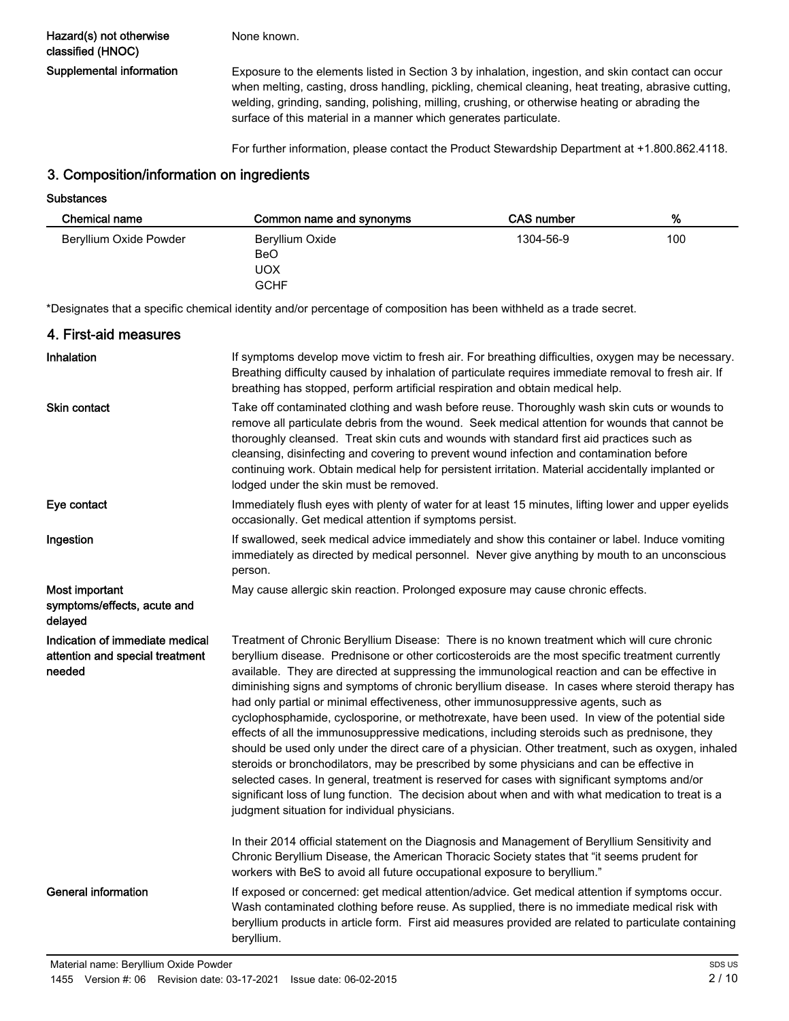None known.

Supplemental information Exposure to the elements listed in Section 3 by inhalation, ingestion, and skin contact can occur when melting, casting, dross handling, pickling, chemical cleaning, heat treating, abrasive cutting, welding, grinding, sanding, polishing, milling, crushing, or otherwise heating or abrading the surface of this material in a manner which generates particulate.

For further information, please contact the Product Stewardship Department at +1.800.862.4118.

### 3. Composition/information on ingredients

**Substances** 

| Chemical name          | Common name and synonyms                     | CAS number | %   |
|------------------------|----------------------------------------------|------------|-----|
| Beryllium Oxide Powder | Beryllium Oxide<br>BeO<br>UOX<br><b>GCHF</b> | 1304-56-9  | 100 |

\*Designates that a specific chemical identity and/or percentage of composition has been withheld as a trade secret.

| 4. First-aid measures                                                        |                                                                                                                                                                                                                                                                                                                                                                                                                                                                                                                                                                                                                                                                                                                                                                                                                                                                                                                                                                                                                                                                                                                                                        |
|------------------------------------------------------------------------------|--------------------------------------------------------------------------------------------------------------------------------------------------------------------------------------------------------------------------------------------------------------------------------------------------------------------------------------------------------------------------------------------------------------------------------------------------------------------------------------------------------------------------------------------------------------------------------------------------------------------------------------------------------------------------------------------------------------------------------------------------------------------------------------------------------------------------------------------------------------------------------------------------------------------------------------------------------------------------------------------------------------------------------------------------------------------------------------------------------------------------------------------------------|
| Inhalation                                                                   | If symptoms develop move victim to fresh air. For breathing difficulties, oxygen may be necessary.<br>Breathing difficulty caused by inhalation of particulate requires immediate removal to fresh air. If<br>breathing has stopped, perform artificial respiration and obtain medical help.                                                                                                                                                                                                                                                                                                                                                                                                                                                                                                                                                                                                                                                                                                                                                                                                                                                           |
| <b>Skin contact</b>                                                          | Take off contaminated clothing and wash before reuse. Thoroughly wash skin cuts or wounds to<br>remove all particulate debris from the wound. Seek medical attention for wounds that cannot be<br>thoroughly cleansed. Treat skin cuts and wounds with standard first aid practices such as<br>cleansing, disinfecting and covering to prevent wound infection and contamination before<br>continuing work. Obtain medical help for persistent irritation. Material accidentally implanted or<br>lodged under the skin must be removed.                                                                                                                                                                                                                                                                                                                                                                                                                                                                                                                                                                                                                |
| Eye contact                                                                  | Immediately flush eyes with plenty of water for at least 15 minutes, lifting lower and upper eyelids<br>occasionally. Get medical attention if symptoms persist.                                                                                                                                                                                                                                                                                                                                                                                                                                                                                                                                                                                                                                                                                                                                                                                                                                                                                                                                                                                       |
| Ingestion                                                                    | If swallowed, seek medical advice immediately and show this container or label. Induce vomiting<br>immediately as directed by medical personnel. Never give anything by mouth to an unconscious<br>person.                                                                                                                                                                                                                                                                                                                                                                                                                                                                                                                                                                                                                                                                                                                                                                                                                                                                                                                                             |
| Most important<br>symptoms/effects, acute and<br>delayed                     | May cause allergic skin reaction. Prolonged exposure may cause chronic effects.                                                                                                                                                                                                                                                                                                                                                                                                                                                                                                                                                                                                                                                                                                                                                                                                                                                                                                                                                                                                                                                                        |
| Indication of immediate medical<br>attention and special treatment<br>needed | Treatment of Chronic Beryllium Disease: There is no known treatment which will cure chronic<br>beryllium disease. Prednisone or other corticosteroids are the most specific treatment currently<br>available. They are directed at suppressing the immunological reaction and can be effective in<br>diminishing signs and symptoms of chronic beryllium disease. In cases where steroid therapy has<br>had only partial or minimal effectiveness, other immunosuppressive agents, such as<br>cyclophosphamide, cyclosporine, or methotrexate, have been used. In view of the potential side<br>effects of all the immunosuppressive medications, including steroids such as prednisone, they<br>should be used only under the direct care of a physician. Other treatment, such as oxygen, inhaled<br>steroids or bronchodilators, may be prescribed by some physicians and can be effective in<br>selected cases. In general, treatment is reserved for cases with significant symptoms and/or<br>significant loss of lung function. The decision about when and with what medication to treat is a<br>judgment situation for individual physicians. |
|                                                                              | In their 2014 official statement on the Diagnosis and Management of Beryllium Sensitivity and<br>Chronic Beryllium Disease, the American Thoracic Society states that "it seems prudent for<br>workers with BeS to avoid all future occupational exposure to beryllium."                                                                                                                                                                                                                                                                                                                                                                                                                                                                                                                                                                                                                                                                                                                                                                                                                                                                               |
| <b>General information</b>                                                   | If exposed or concerned: get medical attention/advice. Get medical attention if symptoms occur.<br>Wash contaminated clothing before reuse. As supplied, there is no immediate medical risk with<br>beryllium products in article form. First aid measures provided are related to particulate containing<br>beryllium.                                                                                                                                                                                                                                                                                                                                                                                                                                                                                                                                                                                                                                                                                                                                                                                                                                |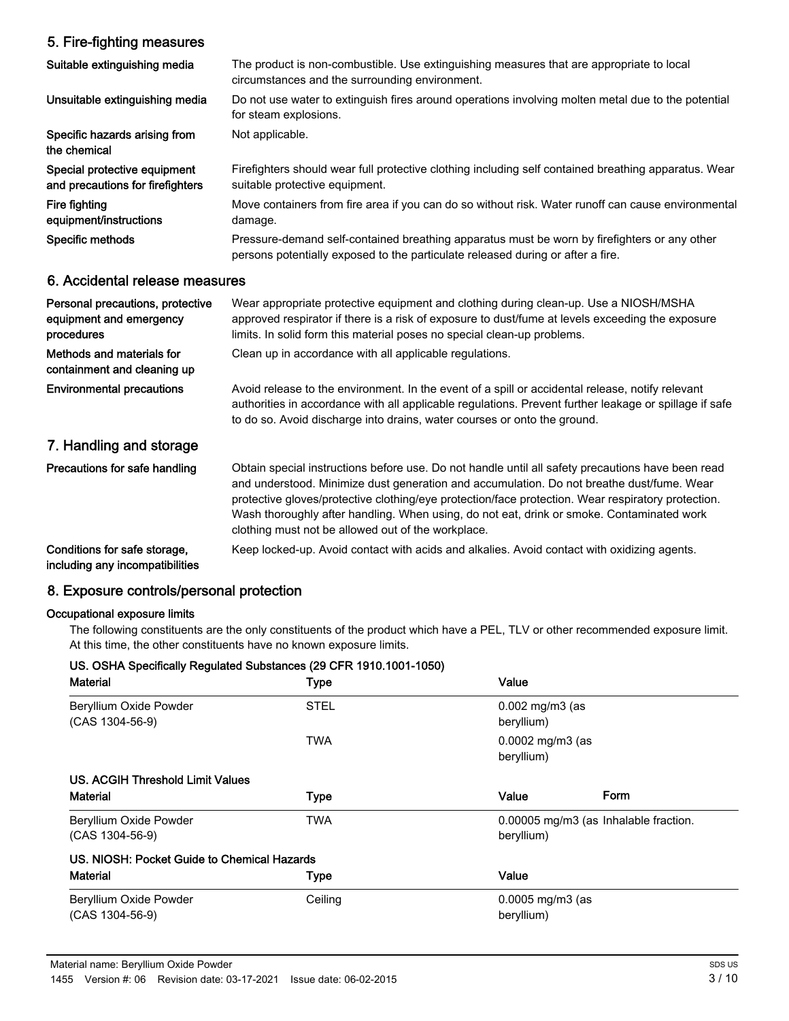### 5. Fire-fighting measures

| Suitable extinguishing media                                              | The product is non-combustible. Use extinguishing measures that are appropriate to local<br>circumstances and the surrounding environment.                                                                                                                                                                                                                                                                                                              |
|---------------------------------------------------------------------------|---------------------------------------------------------------------------------------------------------------------------------------------------------------------------------------------------------------------------------------------------------------------------------------------------------------------------------------------------------------------------------------------------------------------------------------------------------|
| Unsuitable extinguishing media                                            | Do not use water to extinguish fires around operations involving molten metal due to the potential<br>for steam explosions.                                                                                                                                                                                                                                                                                                                             |
| Specific hazards arising from<br>the chemical                             | Not applicable.                                                                                                                                                                                                                                                                                                                                                                                                                                         |
| Special protective equipment<br>and precautions for firefighters          | Firefighters should wear full protective clothing including self contained breathing apparatus. Wear<br>suitable protective equipment.                                                                                                                                                                                                                                                                                                                  |
| Fire fighting<br>equipment/instructions                                   | Move containers from fire area if you can do so without risk. Water runoff can cause environmental<br>damage.                                                                                                                                                                                                                                                                                                                                           |
| Specific methods                                                          | Pressure-demand self-contained breathing apparatus must be worn by firefighters or any other<br>persons potentially exposed to the particulate released during or after a fire.                                                                                                                                                                                                                                                                         |
| 6. Accidental release measures                                            |                                                                                                                                                                                                                                                                                                                                                                                                                                                         |
| Personal precautions, protective<br>equipment and emergency<br>procedures | Wear appropriate protective equipment and clothing during clean-up. Use a NIOSH/MSHA<br>approved respirator if there is a risk of exposure to dust/fume at levels exceeding the exposure<br>limits. In solid form this material poses no special clean-up problems.                                                                                                                                                                                     |
| Methods and materials for<br>containment and cleaning up                  | Clean up in accordance with all applicable regulations.                                                                                                                                                                                                                                                                                                                                                                                                 |
| <b>Environmental precautions</b>                                          | Avoid release to the environment. In the event of a spill or accidental release, notify relevant<br>authorities in accordance with all applicable regulations. Prevent further leakage or spillage if safe<br>to do so. Avoid discharge into drains, water courses or onto the ground.                                                                                                                                                                  |
| 7. Handling and storage                                                   |                                                                                                                                                                                                                                                                                                                                                                                                                                                         |
| Precautions for safe handling                                             | Obtain special instructions before use. Do not handle until all safety precautions have been read<br>and understood. Minimize dust generation and accumulation. Do not breathe dust/fume. Wear<br>protective gloves/protective clothing/eye protection/face protection. Wear respiratory protection.<br>Wash thoroughly after handling. When using, do not eat, drink or smoke. Contaminated work<br>clothing must not be allowed out of the workplace. |
| Conditions for safe storage,<br>including any incompatibilities           | Keep locked-up. Avoid contact with acids and alkalies. Avoid contact with oxidizing agents.                                                                                                                                                                                                                                                                                                                                                             |

## 8. Exposure controls/personal protection

### Occupational exposure limits

The following constituents are the only constituents of the product which have a PEL, TLV or other recommended exposure limit. At this time, the other constituents have no known exposure limits.

| US. OSHA Specifically Regulated Substances (29 CFR 1910.1001-1050) |             |                                                     |
|--------------------------------------------------------------------|-------------|-----------------------------------------------------|
| <b>Material</b>                                                    | <b>Type</b> | Value                                               |
| Beryllium Oxide Powder<br>$(CAS 1304-56-9)$                        | <b>STEL</b> | $0.002$ mg/m $3$ (as<br>beryllium)                  |
|                                                                    | TWA         | $0.0002$ mg/m3 (as<br>beryllium)                    |
| US. ACGIH Threshold Limit Values                                   |             |                                                     |
| <b>Material</b>                                                    | <b>Type</b> | Form<br>Value                                       |
| Beryllium Oxide Powder<br>$(CAS 1304-56-9)$                        | TWA         | 0.00005 mg/m3 (as Inhalable fraction.<br>beryllium) |
| US. NIOSH: Pocket Guide to Chemical Hazards                        |             |                                                     |
| Material                                                           | <b>Type</b> | Value                                               |
| Beryllium Oxide Powder<br>(CAS 1304-56-9)                          | Ceiling     | $0.0005$ mg/m3 (as<br>beryllium)                    |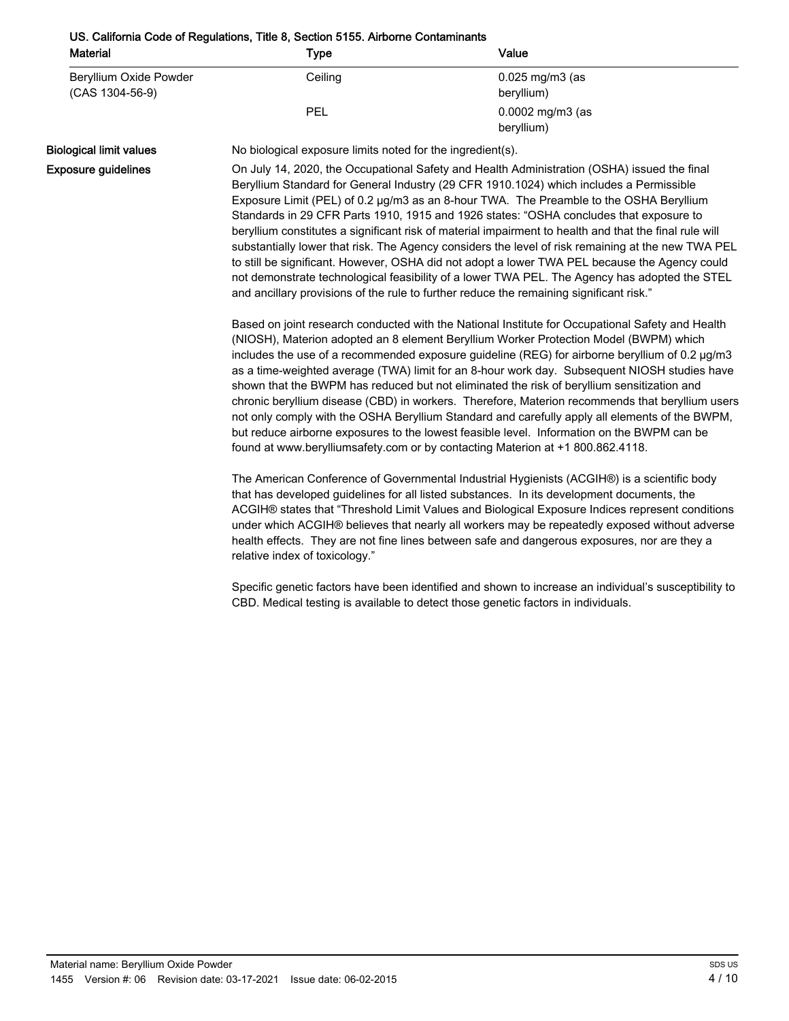| US. California Code of Regulations, Title 8, Section 5155. Airborne Contaminants |         |                                           |
|----------------------------------------------------------------------------------|---------|-------------------------------------------|
| <b>Material</b>                                                                  | Type    | Value                                     |
| Beryllium Oxide Powder<br>$(CAS 1304-56-9)$                                      | Ceiling | $0.025 \,\mathrm{mg/m}$ (as<br>beryllium) |
|                                                                                  | PEL     | 0.0002 mg/m3 (as<br>beryllium)            |

Biological limit values No biological exposure limits noted for the ingredient(s).

Exposure guidelines

On July 14, 2020, the Occupational Safety and Health Administration (OSHA) issued the final Beryllium Standard for General Industry (29 CFR 1910.1024) which includes a Permissible Exposure Limit (PEL) of 0.2 µg/m3 as an 8-hour TWA. The Preamble to the OSHA Beryllium Standards in 29 CFR Parts 1910, 1915 and 1926 states: "OSHA concludes that exposure to beryllium constitutes a significant risk of material impairment to health and that the final rule will substantially lower that risk. The Agency considers the level of risk remaining at the new TWA PEL to still be significant. However, OSHA did not adopt a lower TWA PEL because the Agency could not demonstrate technological feasibility of a lower TWA PEL. The Agency has adopted the STEL and ancillary provisions of the rule to further reduce the remaining significant risk."

Based on joint research conducted with the National Institute for Occupational Safety and Health (NIOSH), Materion adopted an 8 element Beryllium Worker Protection Model (BWPM) which includes the use of a recommended exposure guideline (REG) for airborne beryllium of 0.2 µg/m3 as a time-weighted average (TWA) limit for an 8-hour work day. Subsequent NIOSH studies have shown that the BWPM has reduced but not eliminated the risk of beryllium sensitization and chronic beryllium disease (CBD) in workers. Therefore, Materion recommends that beryllium users not only comply with the OSHA Beryllium Standard and carefully apply all elements of the BWPM, but reduce airborne exposures to the lowest feasible level. Information on the BWPM can be found at www.berylliumsafety.com or by contacting Materion at +1 800.862.4118.

The American Conference of Governmental Industrial Hygienists (ACGIH®) is a scientific body that has developed guidelines for all listed substances. In its development documents, the ACGIH® states that "Threshold Limit Values and Biological Exposure Indices represent conditions under which ACGIH® believes that nearly all workers may be repeatedly exposed without adverse health effects. They are not fine lines between safe and dangerous exposures, nor are they a relative index of toxicology."

Specific genetic factors have been identified and shown to increase an individual's susceptibility to CBD. Medical testing is available to detect those genetic factors in individuals.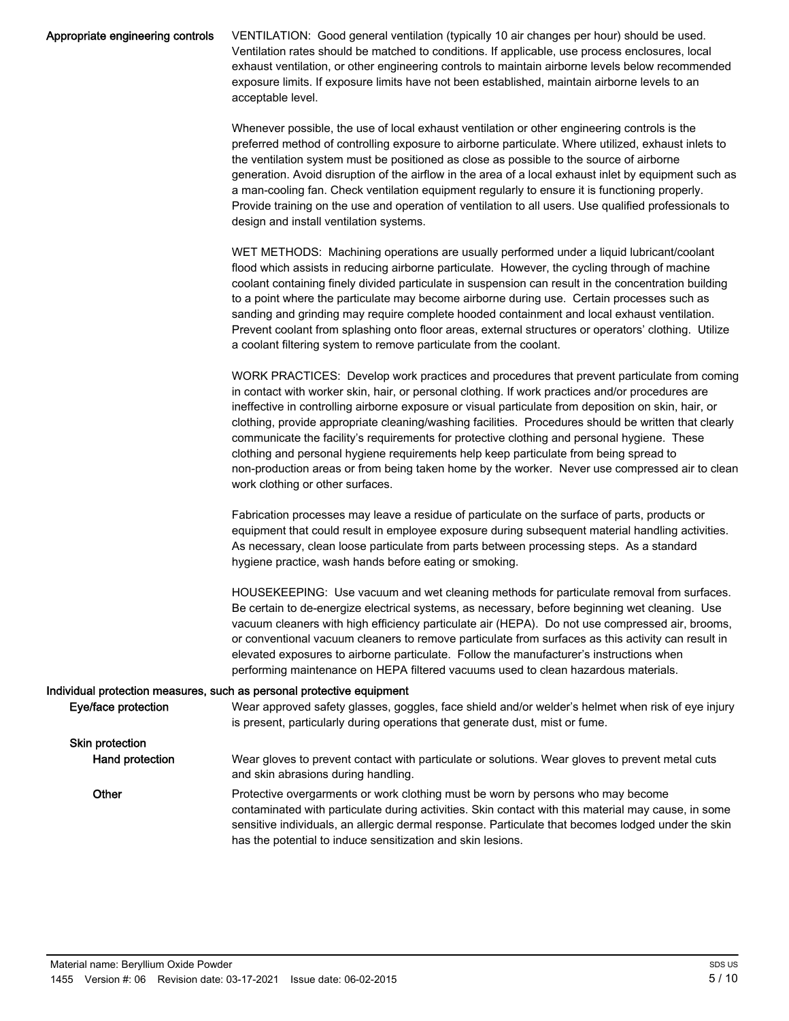| Appropriate engineering controls | VENTILATION: Good general ventilation (typically 10 air changes per hour) should be used.<br>Ventilation rates should be matched to conditions. If applicable, use process enclosures, local<br>exhaust ventilation, or other engineering controls to maintain airborne levels below recommended<br>exposure limits. If exposure limits have not been established, maintain airborne levels to an<br>acceptable level.                                                                                                                                                                                                                                         |
|----------------------------------|----------------------------------------------------------------------------------------------------------------------------------------------------------------------------------------------------------------------------------------------------------------------------------------------------------------------------------------------------------------------------------------------------------------------------------------------------------------------------------------------------------------------------------------------------------------------------------------------------------------------------------------------------------------|
|                                  | Whenever possible, the use of local exhaust ventilation or other engineering controls is the<br>preferred method of controlling exposure to airborne particulate. Where utilized, exhaust inlets to<br>the ventilation system must be positioned as close as possible to the source of airborne<br>generation. Avoid disruption of the airflow in the area of a local exhaust inlet by equipment such as<br>a man-cooling fan. Check ventilation equipment regularly to ensure it is functioning properly.<br>Provide training on the use and operation of ventilation to all users. Use qualified professionals to<br>design and install ventilation systems. |
|                                  | WET METHODS: Machining operations are usually performed under a liquid lubricant/coolant<br>flood which assists in reducing airborne particulate. However, the cycling through of machine<br>coolant containing finely divided particulate in suspension can result in the concentration building<br>to a point where the particulate may become airborne during use. Certain processes such as<br>sanding and grinding may require complete hooded containment and local exhaust ventilation.<br>Prevent coolant from splashing onto floor areas, external structures or operators' clothing. Utilize                                                         |

a coolant filtering system to remove particulate from the coolant.

WORK PRACTICES: Develop work practices and procedures that prevent particulate from coming in contact with worker skin, hair, or personal clothing. If work practices and/or procedures are ineffective in controlling airborne exposure or visual particulate from deposition on skin, hair, or clothing, provide appropriate cleaning/washing facilities. Procedures should be written that clearly communicate the facility's requirements for protective clothing and personal hygiene. These clothing and personal hygiene requirements help keep particulate from being spread to non-production areas or from being taken home by the worker. Never use compressed air to clean work clothing or other surfaces.

Fabrication processes may leave a residue of particulate on the surface of parts, products or equipment that could result in employee exposure during subsequent material handling activities. As necessary, clean loose particulate from parts between processing steps. As a standard hygiene practice, wash hands before eating or smoking.

HOUSEKEEPING: Use vacuum and wet cleaning methods for particulate removal from surfaces. Be certain to de-energize electrical systems, as necessary, before beginning wet cleaning. Use vacuum cleaners with high efficiency particulate air (HEPA). Do not use compressed air, brooms, or conventional vacuum cleaners to remove particulate from surfaces as this activity can result in elevated exposures to airborne particulate. Follow the manufacturer's instructions when performing maintenance on HEPA filtered vacuums used to clean hazardous materials.

#### Individual protection measures, such as personal protective equipment

| Eye/face protection    | Wear approved safety glasses, goggles, face shield and/or welder's helmet when risk of eye injury<br>is present, particularly during operations that generate dust, mist or fume.                                                                                                                                                                           |
|------------------------|-------------------------------------------------------------------------------------------------------------------------------------------------------------------------------------------------------------------------------------------------------------------------------------------------------------------------------------------------------------|
| <b>Skin protection</b> |                                                                                                                                                                                                                                                                                                                                                             |
| Hand protection        | Wear gloves to prevent contact with particulate or solutions. Wear gloves to prevent metal cuts<br>and skin abrasions during handling.                                                                                                                                                                                                                      |
| Other                  | Protective overgarments or work clothing must be worn by persons who may become<br>contaminated with particulate during activities. Skin contact with this material may cause, in some<br>sensitive individuals, an allergic dermal response. Particulate that becomes lodged under the skin<br>has the potential to induce sensitization and skin lesions. |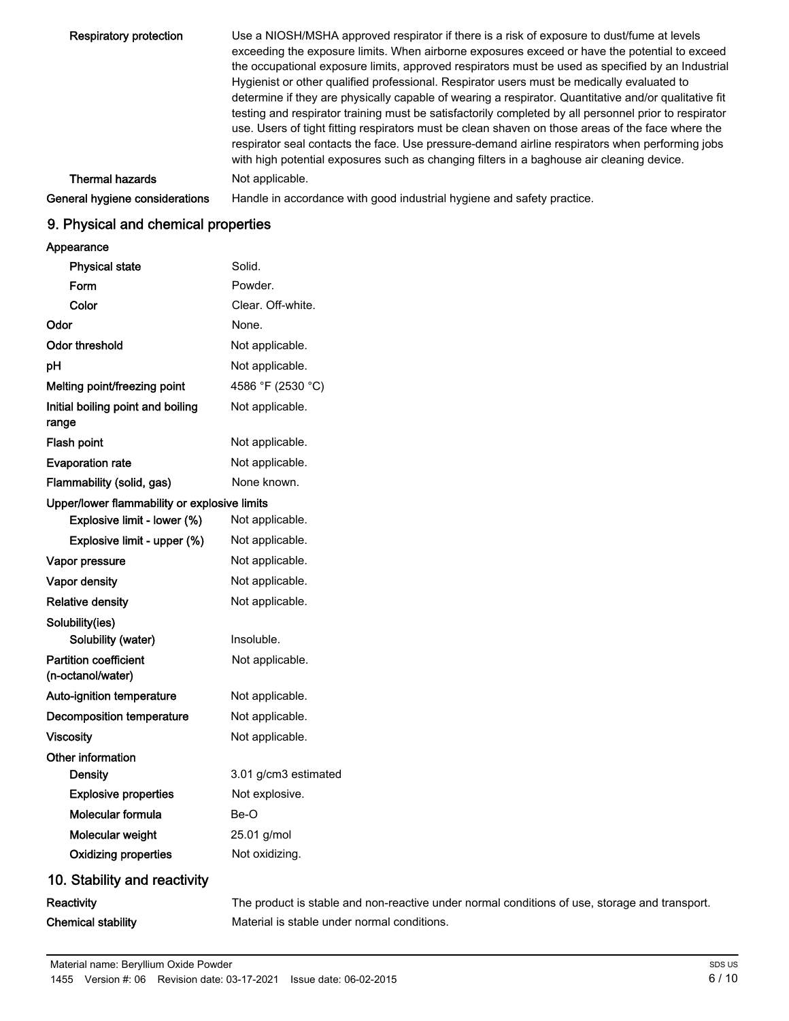| <b>Respiratory protection</b>  | Use a NIOSH/MSHA approved respirator if there is a risk of exposure to dust/fume at levels<br>exceeding the exposure limits. When airborne exposures exceed or have the potential to exceed<br>the occupational exposure limits, approved respirators must be used as specified by an Industrial<br>Hygienist or other qualified professional. Respirator users must be medically evaluated to<br>determine if they are physically capable of wearing a respirator. Quantitative and/or qualitative fit<br>testing and respirator training must be satisfactorily completed by all personnel prior to respirator<br>use. Users of tight fitting respirators must be clean shaven on those areas of the face where the<br>respirator seal contacts the face. Use pressure-demand airline respirators when performing jobs<br>with high potential exposures such as changing filters in a baghouse air cleaning device. |
|--------------------------------|-----------------------------------------------------------------------------------------------------------------------------------------------------------------------------------------------------------------------------------------------------------------------------------------------------------------------------------------------------------------------------------------------------------------------------------------------------------------------------------------------------------------------------------------------------------------------------------------------------------------------------------------------------------------------------------------------------------------------------------------------------------------------------------------------------------------------------------------------------------------------------------------------------------------------|
| <b>Thermal hazards</b>         | Not applicable.                                                                                                                                                                                                                                                                                                                                                                                                                                                                                                                                                                                                                                                                                                                                                                                                                                                                                                       |
| General hygiene considerations | Handle in accordance with good industrial hygiene and safety practice.                                                                                                                                                                                                                                                                                                                                                                                                                                                                                                                                                                                                                                                                                                                                                                                                                                                |

# 9. Physical and chemical properties

Appearance

| <b>Physical state</b>                             | Solid.                                                                                        |
|---------------------------------------------------|-----------------------------------------------------------------------------------------------|
| Form                                              | Powder.                                                                                       |
| Color                                             | Clear. Off-white.                                                                             |
| Odor                                              | None.                                                                                         |
| <b>Odor threshold</b>                             | Not applicable.                                                                               |
| pH                                                | Not applicable.                                                                               |
| Melting point/freezing point                      | 4586 °F (2530 °C)                                                                             |
| Initial boiling point and boiling<br>range        | Not applicable.                                                                               |
| Flash point                                       | Not applicable.                                                                               |
| <b>Evaporation rate</b>                           | Not applicable.                                                                               |
| Flammability (solid, gas)                         | None known.                                                                                   |
| Upper/lower flammability or explosive limits      |                                                                                               |
| Explosive limit - lower (%)                       | Not applicable.                                                                               |
| Explosive limit - upper (%)                       | Not applicable.                                                                               |
| Vapor pressure                                    | Not applicable.                                                                               |
| Vapor density                                     | Not applicable.                                                                               |
| <b>Relative density</b>                           | Not applicable.                                                                               |
| Solubility(ies)<br>Solubility (water)             | Insoluble.                                                                                    |
| <b>Partition coefficient</b><br>(n-octanol/water) | Not applicable.                                                                               |
| Auto-ignition temperature                         | Not applicable.                                                                               |
| <b>Decomposition temperature</b>                  | Not applicable.                                                                               |
| <b>Viscosity</b>                                  | Not applicable.                                                                               |
| Other information                                 |                                                                                               |
| <b>Density</b>                                    | 3.01 g/cm3 estimated                                                                          |
| <b>Explosive properties</b>                       | Not explosive.                                                                                |
| Molecular formula                                 | Be-O                                                                                          |
| Molecular weight                                  | 25.01 g/mol                                                                                   |
| <b>Oxidizing properties</b>                       | Not oxidizing.                                                                                |
| 10. Stability and reactivity                      |                                                                                               |
| Reactivity                                        | The product is stable and non-reactive under normal conditions of use, storage and transport. |
| <b>Chemical stability</b>                         | Material is stable under normal conditions.                                                   |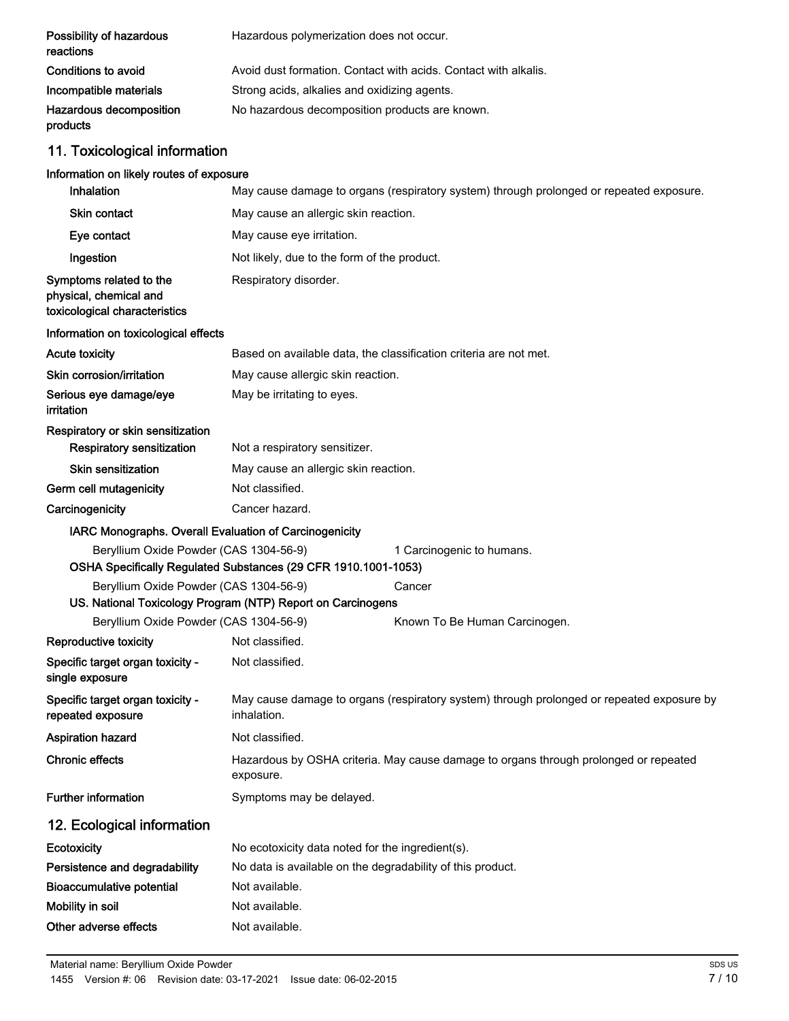| Possibility of hazardous<br>reactions                                                                 | Hazardous polymerization does not occur.                        |                                                                                           |  |
|-------------------------------------------------------------------------------------------------------|-----------------------------------------------------------------|-------------------------------------------------------------------------------------------|--|
| <b>Conditions to avoid</b>                                                                            | Avoid dust formation. Contact with acids. Contact with alkalis. |                                                                                           |  |
| Incompatible materials                                                                                | Strong acids, alkalies and oxidizing agents.                    |                                                                                           |  |
| Hazardous decomposition<br>products                                                                   | No hazardous decomposition products are known.                  |                                                                                           |  |
| 11. Toxicological information                                                                         |                                                                 |                                                                                           |  |
| Information on likely routes of exposure                                                              |                                                                 |                                                                                           |  |
| Inhalation                                                                                            |                                                                 | May cause damage to organs (respiratory system) through prolonged or repeated exposure.   |  |
| <b>Skin contact</b>                                                                                   | May cause an allergic skin reaction.                            |                                                                                           |  |
| Eye contact                                                                                           | May cause eye irritation.                                       |                                                                                           |  |
| Ingestion                                                                                             | Not likely, due to the form of the product.                     |                                                                                           |  |
| Symptoms related to the<br>physical, chemical and<br>toxicological characteristics                    | Respiratory disorder.                                           |                                                                                           |  |
| Information on toxicological effects                                                                  |                                                                 |                                                                                           |  |
| <b>Acute toxicity</b>                                                                                 |                                                                 | Based on available data, the classification criteria are not met.                         |  |
| Skin corrosion/irritation                                                                             | May cause allergic skin reaction.                               |                                                                                           |  |
| Serious eye damage/eye<br>irritation                                                                  | May be irritating to eyes.                                      |                                                                                           |  |
| Respiratory or skin sensitization<br><b>Respiratory sensitization</b>                                 | Not a respiratory sensitizer.                                   |                                                                                           |  |
| <b>Skin sensitization</b>                                                                             | May cause an allergic skin reaction.                            |                                                                                           |  |
| Germ cell mutagenicity                                                                                | Not classified.                                                 |                                                                                           |  |
| Carcinogenicity                                                                                       | Cancer hazard.                                                  |                                                                                           |  |
| IARC Monographs. Overall Evaluation of Carcinogenicity                                                |                                                                 |                                                                                           |  |
| Beryllium Oxide Powder (CAS 1304-56-9)                                                                |                                                                 | 1 Carcinogenic to humans.                                                                 |  |
| OSHA Specifically Regulated Substances (29 CFR 1910.1001-1053)                                        |                                                                 |                                                                                           |  |
| Beryllium Oxide Powder (CAS 1304-56-9)<br>US. National Toxicology Program (NTP) Report on Carcinogens |                                                                 | Cancer                                                                                    |  |
| Beryllium Oxide Powder (CAS 1304-56-9)                                                                |                                                                 | Known To Be Human Carcinogen.                                                             |  |
| Reproductive toxicity                                                                                 | Not classified.                                                 |                                                                                           |  |
| Specific target organ toxicity -<br>single exposure                                                   | Not classified.                                                 |                                                                                           |  |
| Specific target organ toxicity -<br>repeated exposure                                                 | inhalation.                                                     | May cause damage to organs (respiratory system) through prolonged or repeated exposure by |  |
| <b>Aspiration hazard</b>                                                                              | Not classified.                                                 |                                                                                           |  |
| <b>Chronic effects</b>                                                                                | exposure.                                                       | Hazardous by OSHA criteria. May cause damage to organs through prolonged or repeated      |  |
| <b>Further information</b>                                                                            | Symptoms may be delayed.                                        |                                                                                           |  |
| 12. Ecological information                                                                            |                                                                 |                                                                                           |  |
| Ecotoxicity                                                                                           |                                                                 | No ecotoxicity data noted for the ingredient(s).                                          |  |
| Persistence and degradability                                                                         |                                                                 | No data is available on the degradability of this product.                                |  |
| <b>Bioaccumulative potential</b>                                                                      | Not available.                                                  |                                                                                           |  |
| Mobility in soil                                                                                      | Not available.                                                  |                                                                                           |  |
| Other adverse effects                                                                                 | Not available.                                                  |                                                                                           |  |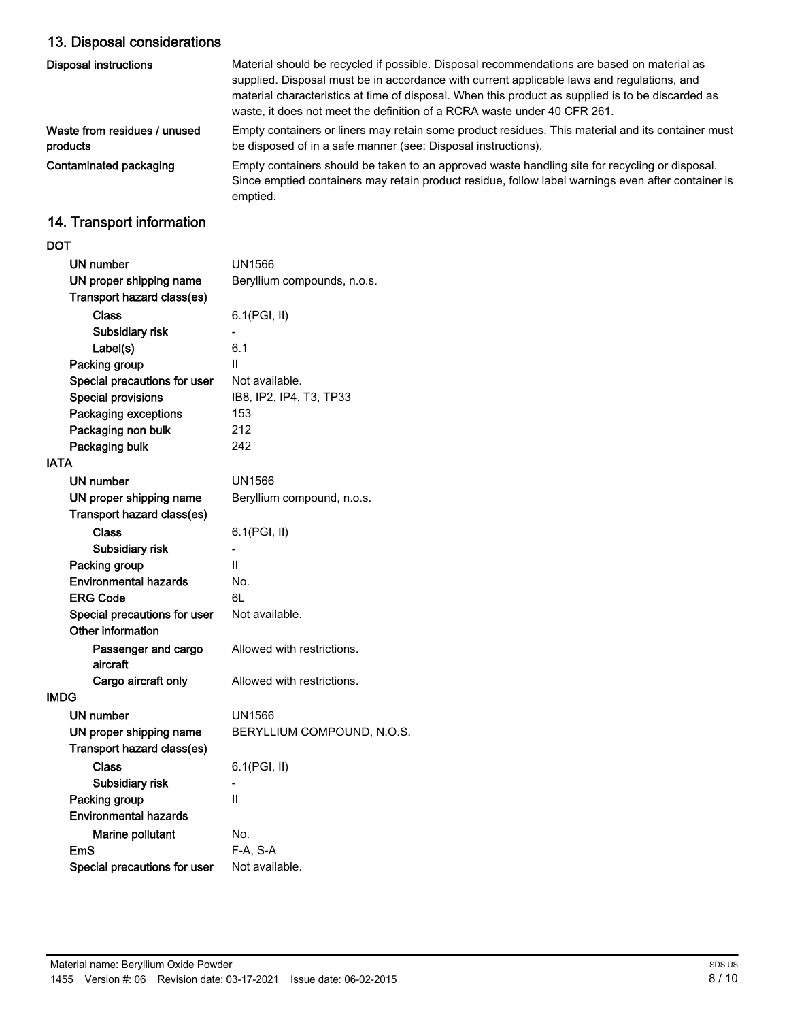# 13. Disposal considerations

| <b>Disposal instructions</b>             | Material should be recycled if possible. Disposal recommendations are based on material as<br>supplied. Disposal must be in accordance with current applicable laws and regulations, and<br>material characteristics at time of disposal. When this product as supplied is to be discarded as<br>waste, it does not meet the definition of a RCRA waste under 40 CFR 261. |
|------------------------------------------|---------------------------------------------------------------------------------------------------------------------------------------------------------------------------------------------------------------------------------------------------------------------------------------------------------------------------------------------------------------------------|
| Waste from residues / unused<br>products | Empty containers or liners may retain some product residues. This material and its container must<br>be disposed of in a safe manner (see: Disposal instructions).                                                                                                                                                                                                        |
| Contaminated packaging                   | Empty containers should be taken to an approved waste handling site for recycling or disposal.<br>Since emptied containers may retain product residue, follow label warnings even after container is<br>emptied.                                                                                                                                                          |
| 11 Transnaut information                 |                                                                                                                                                                                                                                                                                                                                                                           |

### 14. Transport information

| DOT                          |                             |
|------------------------------|-----------------------------|
| UN number                    | UN1566                      |
| UN proper shipping name      | Beryllium compounds, n.o.s. |
| Transport hazard class(es)   |                             |
| Class                        | 6.1(PGI, II)                |
| Subsidiary risk              |                             |
| Label(s)                     | 6.1                         |
| Packing group                | П                           |
| Special precautions for user | Not available.              |
| <b>Special provisions</b>    | IB8, IP2, IP4, T3, TP33     |
| <b>Packaging exceptions</b>  | 153                         |
| Packaging non bulk           | 212                         |
| Packaging bulk               | 242                         |
| <b>IATA</b>                  |                             |
| UN number                    | UN1566                      |
| UN proper shipping name      | Beryllium compound, n.o.s.  |
| Transport hazard class(es)   |                             |
| Class                        | 6.1(PGI, II)                |
| Subsidiary risk              |                             |
| Packing group                | Ш                           |
| <b>Environmental hazards</b> | No.                         |
| <b>ERG Code</b>              | 6L                          |
| Special precautions for user | Not available.              |
| Other information            |                             |
| Passenger and cargo          | Allowed with restrictions.  |
| aircraft                     |                             |
| Cargo aircraft only          | Allowed with restrictions.  |
| <b>IMDG</b>                  |                             |
| UN number                    | UN1566                      |
| UN proper shipping name      | BERYLLIUM COMPOUND, N.O.S.  |
| Transport hazard class(es)   |                             |
| Class                        | 6.1(PGI, II)                |
| Subsidiary risk              |                             |
| Packing group                | $\mathsf{II}$               |
| <b>Environmental hazards</b> |                             |
| Marine pollutant             | No.                         |
| EmS                          | F-A, S-A                    |
| Special precautions for user | Not available.              |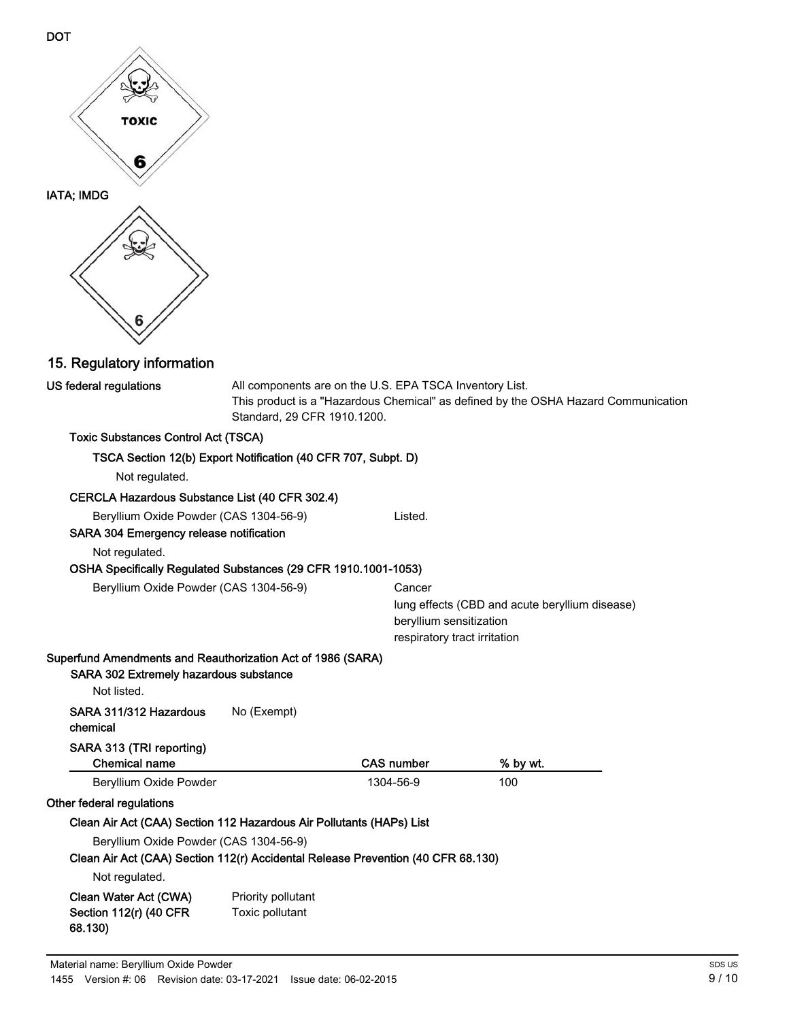